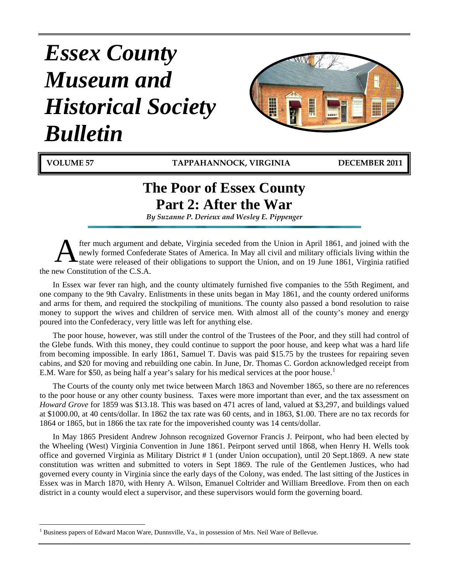# *Essex County Museum and Historical Society Bulletin*



 $\overline{a}$ 

**VOLUME 57 TAPPAHANNOCK, VIRGINIA DECEMBER 2011**

## **The Poor of Essex County Part 2: After the War**

*By Suzanne P. Derieux and Wesley E. Pippenger* 

fter much argument and debate, Virginia seceded from the Union in April 1861, and joined with the newly formed Confederate States of America. In May all civil and military officials living within the state were released of their obligations to support the Union, and on 19 June 1861, Virginia ratified the new Constitution of the C.S.A.  $\mathbf{A}^{\text{fte}}_{\text{stz}}$ 

In Essex war fever ran high, and the county ultimately furnished five companies to the 55th Regiment, and one company to the 9th Cavalry. Enlistments in these units began in May 1861, and the county ordered uniforms and arms for them, and required the stockpiling of munitions. The county also passed a bond resolution to raise money to support the wives and children of service men. With almost all of the county's money and energy poured into the Confederacy, very little was left for anything else.

The poor house, however, was still under the control of the Trustees of the Poor, and they still had control of the Glebe funds. With this money, they could continue to support the poor house, and keep what was a hard life from becoming impossible. In early 1861, Samuel T. Davis was paid \$15.75 by the trustees for repairing seven cabins, and \$20 for moving and rebuilding one cabin. In June, Dr. Thomas C. Gordon acknowledged receipt from E.M. Ware for \$50, as being half a year's salary for his medical services at the poor house.<sup>[1](#page-0-0)</sup>

The Courts of the county only met twice between March 1863 and November 1865, so there are no references to the poor house or any other county business. Taxes were more important than ever, and the tax assessment on *Howard Grove* for 1859 was \$13.18. This was based on 471 acres of land, valued at \$3,297, and buildings valued at \$1000.00, at 40 cents/dollar. In 1862 the tax rate was 60 cents, and in 1863, \$1.00. There are no tax records for 1864 or 1865, but in 1866 the tax rate for the impoverished county was 14 cents/dollar.

In May 1865 President Andrew Johnson recognized Governor Francis J. Peirpont, who had been elected by the Wheeling (West) Virginia Convention in June 1861. Peirpont served until 1868, when Henry H. Wells took office and governed Virginia as Military District # 1 (under Union occupation), until 20 Sept.1869. A new state constitution was written and submitted to voters in Sept 1869. The rule of the Gentlemen Justices, who had governed every county in Virginia since the early days of the Colony, was ended. The last sitting of the Justices in Essex was in March 1870, with Henry A. Wilson, Emanuel Coltrider and William Breedlove. From then on each district in a county would elect a supervisor, and these supervisors would form the governing board.

<span id="page-0-0"></span><sup>1</sup> Business papers of Edward Macon Ware, Dunnsville, Va., in possession of Mrs. Neil Ware of Bellevue.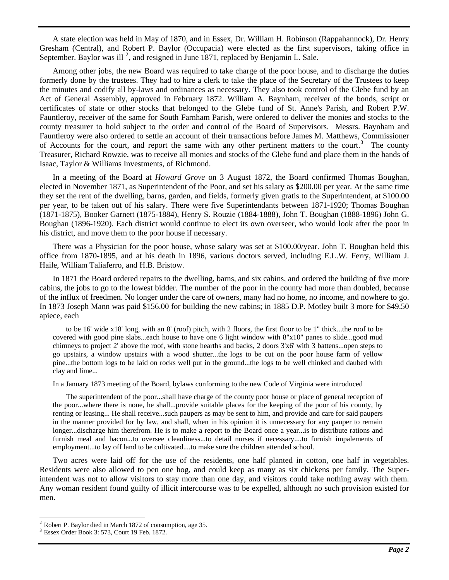A state election was held in May of 1870, and in Essex, Dr. William H. Robinson (Rappahannock), Dr. Henry Gresham (Central), and Robert P. Baylor (Occupacia) were elected as the first supervisors, taking office in September. Baylor was ill<sup>[2](#page-1-0)</sup>, and resigned in June 1871, replaced by Benjamin L. Sale.

Among other jobs, the new Board was required to take charge of the poor house, and to discharge the duties formerly done by the trustees. They had to hire a clerk to take the place of the Secretary of the Trustees to keep the minutes and codify all by-laws and ordinances as necessary. They also took control of the Glebe fund by an Act of General Assembly, approved in February 1872. William A. Baynham, receiver of the bonds, script or certificates of state or other stocks that belonged to the Glebe fund of St. Anne's Parish, and Robert P.W. Fauntleroy, receiver of the same for South Farnham Parish, were ordered to deliver the monies and stocks to the county treasurer to hold subject to the order and control of the Board of Supervisors. Messrs. Baynham and Fauntleroy were also ordered to settle an account of their transactions before James M. Matthews, Commissioner of Accounts for the court, and report the same with any other pertinent matters to the court.<sup>[3](#page-1-1)</sup> The county Treasurer, Richard Rowzie, was to receive all monies and stocks of the Glebe fund and place them in the hands of Isaac, Taylor & Williams Investments, of Richmond.

In a meeting of the Board at *Howard Grove* on 3 August 1872, the Board confirmed Thomas Boughan, elected in November 1871, as Superintendent of the Poor, and set his salary as \$200.00 per year. At the same time they set the rent of the dwelling, barns, garden, and fields, formerly given gratis to the Superintendent, at \$100.00 per year, to be taken out of his salary. There were five Superintendants between 1871-1920; Thomas Boughan (1871-1875), Booker Garnett (1875-1884), Henry S. Rouzie (1884-1888), John T. Boughan (1888-1896) John G. Boughan (1896-1920). Each district would continue to elect its own overseer, who would look after the poor in his district, and move them to the poor house if necessary.

There was a Physician for the poor house, whose salary was set at \$100.00/year. John T. Boughan held this office from 1870-1895, and at his death in 1896, various doctors served, including E.L.W. Ferry, William J. Haile, William Taliaferro, and H.B. Bristow.

In 1871 the Board ordered repairs to the dwelling, barns, and six cabins, and ordered the building of five more cabins, the jobs to go to the lowest bidder. The number of the poor in the county had more than doubled, because of the influx of freedmen. No longer under the care of owners, many had no home, no income, and nowhere to go. In 1873 Joseph Mann was paid \$156.00 for building the new cabins; in 1885 D.P. Motley built 3 more for \$49.50 apiece, each

to be 16' wide x18' long, with an 8' (roof) pitch, with 2 floors, the first floor to be 1" thick...the roof to be covered with good pine slabs...each house to have one 6 light window with 8"x10" panes to slide...good mud chimneys to project 2' above the roof, with stone hearths and backs, 2 doors 3'x6' with 3 battens...open steps to go upstairs, a window upstairs with a wood shutter...the logs to be cut on the poor house farm of yellow pine...the bottom logs to be laid on rocks well put in the ground...the logs to be well chinked and daubed with clay and lime...

In a January 1873 meeting of the Board, bylaws conforming to the new Code of Virginia were introduced

The superintendent of the poor...shall have charge of the county poor house or place of general reception of the poor...where there is none, he shall...provide suitable places for the keeping of the poor of his county, by renting or leasing... He shall receive...such paupers as may be sent to him, and provide and care for said paupers in the manner provided for by law, and shall, when in his opinion it is unnecessary for any pauper to remain longer...discharge him therefrom. He is to make a report to the Board once a year...is to distribute rations and furnish meal and bacon...to oversee cleanliness...to detail nurses if necessary....to furnish impalements of employment...to lay off land to be cultivated....to make sure the children attended school.

Two acres were laid off for the use of the residents, one half planted in cotton, one half in vegetables. Residents were also allowed to pen one hog, and could keep as many as six chickens per family. The Superintendent was not to allow visitors to stay more than one day, and visitors could take nothing away with them. Any woman resident found guilty of illicit intercourse was to be expelled, although no such provision existed for men.

 $\overline{a}$ 

<span id="page-1-0"></span><sup>2</sup> Robert P. Baylor died in March 1872 of consumption, age 35.

<span id="page-1-1"></span><sup>3</sup> Essex Order Book 3: 573, Court 19 Feb. 1872.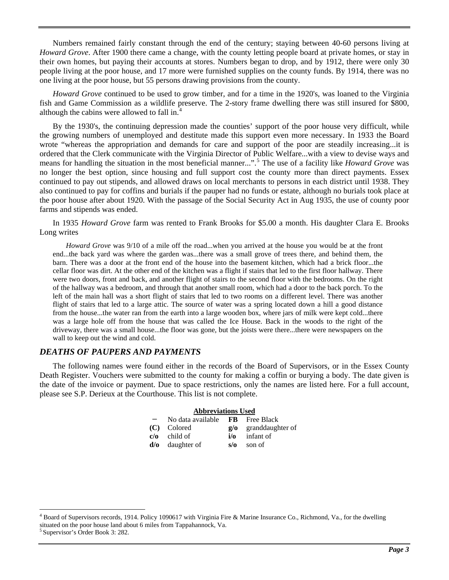Numbers remained fairly constant through the end of the century; staying between 40-60 persons living at *Howard Grove*. After 1900 there came a change, with the county letting people board at private homes, or stay in their own homes, but paying their accounts at stores. Numbers began to drop, and by 1912, there were only 30 people living at the poor house, and 17 more were furnished supplies on the county funds. By 1914, there was no one living at the poor house, but 55 persons drawing provisions from the county.

*Howard Grove* continued to be used to grow timber, and for a time in the 1920's, was loaned to the Virginia fish and Game Commission as a wildlife preserve. The 2-story frame dwelling there was still insured for \$800, although the cabins were allowed to fall in.[4](#page-2-0)

By the 1930's, the continuing depression made the counties' support of the poor house very difficult, while the growing numbers of unemployed and destitute made this support even more necessary. In 1933 the Board wrote "whereas the appropriation and demands for care and support of the poor are steadily increasing...it is ordered that the Clerk communicate with the Virginia Director of Public Welfare...with a view to devise ways and means for handling the situation in the most beneficial manner...".[5](#page-2-1) The use of a facility like *Howard Grove* was no longer the best option, since housing and full support cost the county more than direct payments. Essex continued to pay out stipends, and allowed draws on local merchants to persons in each district until 1938. They also continued to pay for coffins and burials if the pauper had no funds or estate, although no burials took place at the poor house after about 1920. With the passage of the Social Security Act in Aug 1935, the use of county poor farms and stipends was ended.

In 1935 *Howard Grove* farm was rented to Frank Brooks for \$5.00 a month. His daughter Clara E. Brooks Long writes

*Howard Grove* was 9/10 of a mile off the road...when you arrived at the house you would be at the front end...the back yard was where the garden was...there was a small grove of trees there, and behind them, the barn. There was a door at the front end of the house into the basement kitchen, which had a brick floor...the cellar floor was dirt. At the other end of the kitchen was a flight if stairs that led to the first floor hallway. There were two doors, front and back, and another flight of stairs to the second floor with the bedrooms. On the right of the hallway was a bedroom, and through that another small room, which had a door to the back porch. To the left of the main hall was a short flight of stairs that led to two rooms on a different level. There was another flight of stairs that led to a large attic. The source of water was a spring located down a hill a good distance from the house...the water ran from the earth into a large wooden box, where jars of milk were kept cold...there was a large hole off from the house that was called the Ice House. Back in the woods to the right of the driveway, there was a small house...the floor was gone, but the joists were there...there were newspapers on the wall to keep out the wind and cold.

#### *DEATHS OF PAUPERS AND PAYMENTS*

The following names were found either in the records of the Board of Supervisors, or in the Essex County Death Register. Vouchers were submitted to the county for making a coffin or burying a body. The date given is the date of the invoice or payment. Due to space restrictions, only the names are listed here. For a full account, please see S.P. Derieux at the Courthouse. This list is not complete.

#### **Abbreviations Used**

| $-$ No data available FB Free Black |            |                                 |
|-------------------------------------|------------|---------------------------------|
| (C) Colored                         |            | $g$ / $\sigma$ granddaughter of |
| $c/\alpha$ child of                 |            | $i/\sigma$ infant of            |
| $d$ / $\sigma$ daughter of          | $s/\alpha$ | son of                          |

 $\overline{a}$ 

<span id="page-2-0"></span><sup>&</sup>lt;sup>4</sup> Board of Supervisors records, 1914. Policy 1090617 with Virginia Fire & Marine Insurance Co., Richmond, Va., for the dwelling situated on the poor house land about 6 miles from Tappahannock, Va. 5 Supervisor's Order Book 3: 282.

<span id="page-2-1"></span>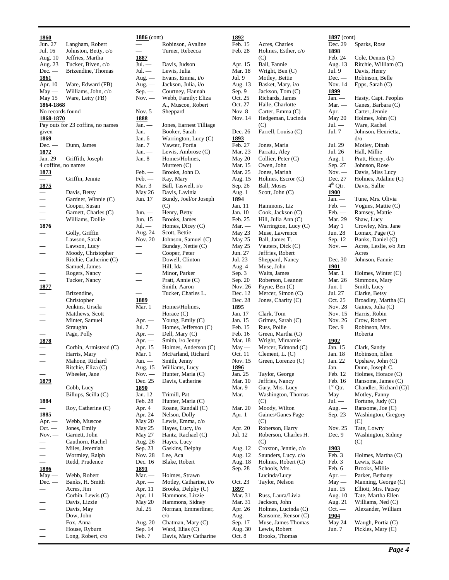#### **1860** Jun. 27 Langham, Robert Jul. 16 Johnston, Betty, c/o Aug. 10 Jeffries, Martha<br>Aug. 23 Tucker, Biven, c Tucker, Biven, c/o Dec. — Brizendine, Thomas **1861** Apr. 10 Ware, Edward (FB) May — Williams, John, c/o May 15 Ware, Letty (FB) **1864-1868** No records found **1868-1870** Pay outs for 23 coffins, no names given **1869** Dec. — Dunn, James **1872**<br>Jan. 29 Griffith, Joseph 4 coffins, no names **1873** — Griffin, Jennie **1875** — Davis, Betsy<br>
— Gardner, Wii<br>
— Cooper, Susa<br>
— Garnett, Cha<br>
— Williams, Do Gardner, Winnie (C) Cooper, Susan Garnett, Charles (C) — Williams, Dollie **1876** Golly, Griffin — Lawson, Sarah Lawson, Lucy — Moody, Christopher — Ritchie, Catherine **(**C) Samuel, James — Rogers, Nancy — Tucker, Nancy **1877** Brizendine, Christopher Jenkins, Ursela Matthews, Scott Minter, Samuel Straughn Page, Polly **1878** — Corbin, Armistead (C) — Harris, Mary<br>— Mahone, Ricl<br>— Ritchie, Eliza<br>— Wheeler Jane Mahone, Richard — Ritchie, Eliza (C) — Wheeler, Jane **1879** — Cobb, Lucy — Billups, Scilla (C) **1884** — Roy, Catherine (C) **1885** Apr. — Webb, Muscoe<br>Oct. — Jones, Emily Jones, Emily Nov. — Garnett, John Cauthorn, Rachel — Miles, Jeremiah — Wormley, Ralph<br>— Redd Prudence — Redd, Prudence **1886** May — Webb, Robert Dec. — Banks, H. Smith — Acres, Jim — Corbin. Lewis (C) Davis, Lizzie Davis, May — Dow, John — Fox, Anna — House, Ryburn

— Long, Robert, c/o

#### **1886** (cont) — Robinson, Avaline Turner, Rebecca **1887** Jul. — Davis, Judson Jul. — Lewis, Julia Aug. — Evans, Emma, i/o Aug. — Jackson, Julia, i/o Sep. — Courtney, Hannah Nov. — Webb, Family: Eliza A., Muscoe, Robert Nov. 5 Sheppard **1888** Jan. — Jones, Earnest Tilliage Booker, Sarah Jan. 6 Warrington, Lucy (C) Jan. 7 Vawter, Portia Jan. — Lewis, Ambrose (C)<br>Jan. 8 Homes/Holmes, Homes/Holmes, Murteen (C) Feb. — Brooks, John O. Feb. — Kay, Mary Mar. 3 Ball, Taswell, i/o May 26 Davis, Lavinia Jun. 17 Bundy, Joel/or Joseph  $(C)$ Jun. — Henry, Betty Jun. 15 Brooks, James Jul. — Homes, Dicey (C)<br>Aug. 24 Scott, Bettie Aug. 24 Scott, Bettie Johnson, Samuel (C) Bunday, Nettie (C) — Cooper, Peter — Dowell, Clinton — Hill, Ida Minor, Parker — Pratt, Annie (C) Smith, Aaron — Tucker, Charles L. **1889** Mar. 1 Homes/Holmes, Horace (C) Apr. — Young, Emily (C) Jul. 7 Homes, Jefferson (C) Apr. — Dell, Mary (C) Apr. — Smith, i/o Jenny Apr. 15 Holmes, Anderson (C) Mar. 1 McFarland, Richard Jun. — Smith, Jenny Aug. 15 Williams, Lucy Nov. — Hunter, Maria (C)<br>Dec. 25 Davis, Catherine Davis, Catherine **1890**<br>Jan. 12 Trimill, Pat Feb. 28 Hunter, Maria (C) Apr. 4 Roane, Randall (C) Apr. 24 Nelson, Dolly May 20 Lewis, Emma, c/o<br>May 25 Hayes, Lucy, i/o May 25 Hayes, Lucy, i/o<br>May 27 Hantz, Rachael ( Hantz, Rachael (C) Aug. 26 Hayes, Lucy Sep. 23 Gaskins, Delphy Nov. 28 Lee, Aca Dec. 16 Blake, Robert **1891**<br>Mar. — Mar. — Holmes, Strawn<br>Apr. — Motley, Catharin Motley, Catharine, i/o Apr. 11 Brooks, Delphy (C) Apr. 11 Hammons, Lizzie May 20 Hammons, Sidney<br>Jul. 25 Norman, Emmerli Norman, Emmerliner, c/o Aug. 20 Chatman, Mary (C) Sep. 14 Ward, Elias (C)<br>Feb. 7 Davis, Mary Ca Davis, Mary Catharine

#### **1892** Feb. 15 Acres, Charles Feb. 28 Holmes, Esther, c/o  $(C)$ Apr. 15 Ball, Fannie Mar. 18 Wright, Ben (C)<br>Jul. 9 Motley, Bettie Motley, Bettie Aug. 13 Basket, Mary, i/o<br>Sep. 9 Jackson, Tom (C) Jackson, Tom (C) Oct. 25 Richards, James<br>Oct. 27 Haile, Charlotte Haile, Charlotte Nov. 8 Carter, Emma (C) Nov. 14 Hedgeman, Lucinda (C) Dec. 26 Farrell, Louisa (C) **1893** Feb. 27 Jones, Maria<br>Mar. 23 Parratti, Alex Mar. 23 Parratti, Aley<br>May 20 Collier, Peter Collier, Peter (C) Mar. 15 Owen, John Mar. 25 Jones, Mariah<br>Aug. 15 Holmes, Escro Holmes, Escror (C) Sep. 26 Ball, Moses Aug. 1 Scott, John (C) **1894**<br>Jan. 11 Jan. 11 Hammons, Liz Cook, Jackson (C) Feb. 25 Hill, Julia Ann (C) Mar. — Warrington, Lucy (C)<br>May 23 Muse, Lawrence Muse, Lawrence May 25 Ball, James T.<br>May 25 Vauters, Dick Vauters, Dick (C) Jun. 27 Jeffries, Robert<br>Jul. 23 Sheppard, Nanc Sheppard, Nancy Aug. 4 Muse, John Sep. 3 Waits, James Sep. 20 Roberson, Leanner<br>Nov. 26 Payne, Ben (C) Payne, Ben (C) Dec. 12 Mercer, Simon (C) Dec. 28 Jones, Charity (C) **1895**<br>Jan. 17 Clark, Tom Jan. 15 Grimes, Sarah (C) Feb. 15 Russ, Pollie Feb. 16 Green, Martha (C) Mar. 18 Wright, Mimamie May — Mercer, Edmond (C)<br>Oct. 11 Clement, L. (C) Clement, L.  $(C)$ Nov. 15 Green, Lorenzo (C) **1896**<br>Jan. 25 Jan. 25 Taylor, George<br>Mar. 10 Jeffries, Nancy Mar. 10 Jeffries, Nancy<br>Mar. 9 Gary, Mrs. Luc Gary, Mrs. Lucy Mar. — Washington, Thomas  $(C)$ Mar. 20 Moody, Wilton Apr. 1 Gaines/Ganes Page  $(C)$ Apr. 20 Roberson, Harry<br>Jul. 12 Roberson, Charle Roberson, Charles H. (C) Aug. 12 Croxton, Jennie, c/o Aug. 12 Saunders, Lucy. c/o Aug. 18 Holmes, Robert (C) Sep. 28 Schools, Mrs. Lucinda/Lucy Oct. 23 Taylor, Nelson **1897** Mar. 31 Russ, Laura/Livia Mar. 31 Jackson, John<br>Apr. 26 Holmes, Lucir Holmes, Lucinda (C) Aug. — Ransome, Rensor (C) Sep. 17 Muse, James Thomas Aug. 30 Lewis, Robert<br>Oct. 8 Brooks, Thoma Brooks, Thomas

#### **1897** (cont) Dec. 29 Sparks, Rose **1898** Feb. 24 Cole, Dennis (C) Aug. 13 Ritchie, William (C) Jul. 9 Davis, Henry<br>Dec. — Robinson, Be. Robinson, Belle Nov. 14 Epps, Sarah (C) **1899** Jan. — Hasty, Capt. Peoples<br>Mar. — Ganes, Barbara (C) Ganes, Barbara  $(C)$ Apr. — Carter, Jennie May 20 Holmes, John (C) Jul. — Ware, Rachel<br>Jul. 7 Johnson, Henr Johnson, Henrietta, d/o Jul. 29 Motley, Dinah Jul. 26 Hall, Millie Aug. 1 Pratt, Henry, d/o Sep. 27 Johnson, Rose Nov. — Davis, Miss Lucy<br>Dec. 27 Holmes, Adaline Dec. 27 Holmes, Adaline (C)<br>4<sup>th</sup> Qtr. Davis, Sallie Davis, Sallie **1900** Jan. — Tune, Mrs. Olivia<br>Feb — Vogues Mattie (C Vogues, Mattie (C) Feb. — Ramsey, Mattie Mar. 29 Shaw, Lucy May 1 Crowley, Mrs. Jane<br>
Iun 28 Lomax Page (C) Lomax, Page  $(C)$ Sep. 12 Banks, Daniel (C) Nov. — Acres, Leslie, s/o Jim Acres Dec. 30 Johnson, Fannie **1901**<br>Mar. 1 Holmes, Winter (C) Mar. 26 Simmons, Mary Jun. 1 Smith, Lucy Jul. 27 Clarke, Betsy Oct. 25 Broadley, Martha (C) Nov. 28 Gaines, Julia (C)<br>Nov. 15 Harris, Robin Harris, Robin Nov. 26 Crow, Robert Dec. 9 Robinson, Mrs. Roberta **1902** Jan. 15 Clark, Sandy Jan. 18 Robinson, Ellen Jan. 22 Upshaw, John (C) Jan. — Dunn, Joseph C. Feb. 12 Holmes, Horace (C) Feb. 16 Ransome, James (C)  $1<sup>st</sup>$  Qtr. Chandler, Richard (C)] May — Motley, Fanny<br>Jul. — Fortune. Judy ( Fortune, Judy (C) Aug. — Ransome, Joe (C) Sep. 23 Washington, Gregory  $(C)$ Nov. 25 Tate, Lowry<br>Dec. 9 Washington, Washington, Sidney (C)  $\frac{1903}{\text{Feb. 3}}$ Holmes, Martha (C) Feb. 3 Lewis, Kate Feb. 6 Brooks, Millie Apr. — Parker, Bethany May — Manning, George (C) Jun. 15 Elliott, Mrs. Patsey Aug. 10 Tate, Martha Ellen Aug. 21 Williams, Ned (C) Oct. — Alexander, William **1904** May 24 Waugh, Portia (C) Jun. 7 Pickles, Mary (C)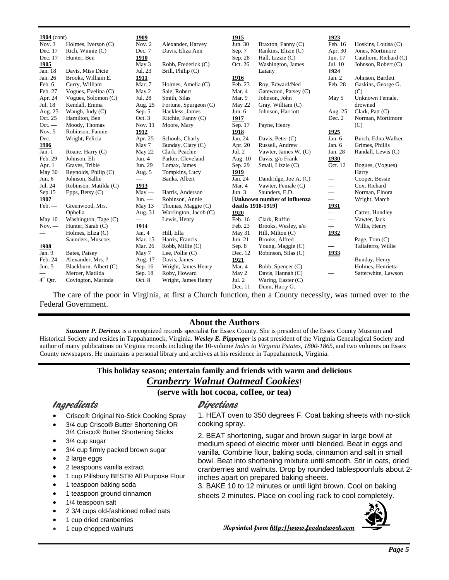| $1904$ (cont)<br>Nov. 3 | Holmes, Iverson (C)    | 1909<br>Nov. $2$         |                                       | 1915<br>Jun. 30              |                                           | 1923<br>Feb. 16                   |                                         |
|-------------------------|------------------------|--------------------------|---------------------------------------|------------------------------|-------------------------------------------|-----------------------------------|-----------------------------------------|
| Dec. 17                 | Rich, Winnie (C)       | Dec. 7                   | Alexander, Harvey<br>Davis, Eliza Ann |                              | Braxton, Fanny (C)<br>Rankins, Elizie (C) |                                   | Hoskins, Louisa (C)<br>Jones, Mortimore |
| Dec. 17                 |                        |                          |                                       | Sep. 7                       |                                           | Apr. 30<br>Jun. 17                |                                         |
|                         | Hunter, Ben            | 1910                     |                                       | Sep. 28<br>Oct. 26           | Hall, Lizzie (C)                          | Jul. 10                           | Cauthorn, Richard (C)                   |
| 1905                    |                        | May 3                    | Robb, Frederick (C)                   |                              | Washington, James                         |                                   | Johnson, Robert (C)                     |
| Jan. 18                 | Davis, Miss Dicie      | Jul. 23                  | Brill, Philip (C)                     |                              | Latany                                    | 1924                              |                                         |
| Jan. 26                 | Brooks, William E.     | 1911                     |                                       | 1916                         |                                           | Jan. 2                            | Johnson, Bartlett                       |
| Feb. 6                  | Curry, William         | Mar. 7                   | Holmes, Amelia (C)                    | Feb. 23                      | Roy, Edward/Ned                           | Feb. 28                           | Gaskins, George G.                      |
| Feb. 27                 | Vogues, Evelina (C)    | May 2                    | Sale, Robert                          | Mar. 4                       | Gatewood, Patsey (C)                      |                                   | (C)                                     |
| Apr. 24                 | Vogues, Solomon (C)    | Jul. 28                  | Smith, Silas                          | Mar. 9                       | Johnson, John                             | May 5                             | Unknown Female,                         |
| Jul. 18                 | Kendall, Emma          | Aug. 25                  | Fortune, Spurgeon (C)                 | May 22                       | Gray, William (C)                         |                                   | drowned                                 |
| Aug. 25                 | Waugh, Judy (C)        | Sep. 5                   | Hackless, James                       | Jun. $6$                     | Johnson, Harriott                         | Aug. 25                           | Clark, Patt $(C)$                       |
| Oct. 25                 | Hamilton, Ben          | Oct. 3                   | Ritchie, Fanny (C)                    | 1917                         |                                           | Dec. 2                            | Norman, Mortimore                       |
| $Oct. -$                | Moody, Thomas          | Nov. 11                  | Moore, Mary                           | Sep. 17                      | Payne, Henry                              |                                   | (C)                                     |
| Nov. 5                  | Robinson, Fannie       | 1912                     |                                       | 1918                         |                                           | 1925                              |                                         |
| $Dec.$ —                | Wright, Felicia        | Apr. 25                  | Schools, Charly                       | Jan. 24                      | Davis, Peter (C)                          | Jan. 6                            | Burch, Edna Walker                      |
| 1906                    |                        | May 7                    | Bunday, Clary (C)                     | Apr. 20                      | Russell, Andrew                           | Jan. 6                            | Grimes, Phillis                         |
| Jan. 1                  | Roane, Harry (C)       | May 22                   | Clark, Peachie                        | Jul. $2$                     | Vawter, James W. (C)                      | Jan. 28                           | Randall, Lewis (C)                      |
| Feb. 29                 | Johnson, Eli           | Jun. $4$                 | Parker, Cleveland                     | Aug. 10                      | Davis, g/o Frank                          | 1930                              |                                         |
| Apr. 1                  | Graves, Trible         | Jun. 29                  | Lomax, James                          | Sep. 29                      | Small, Lizzie (C)                         | Oct. 12                           | Bogues, (Vogues)                        |
| May 30                  | Reynolds, Philip $(C)$ | Aug. 5                   | Tompkins, Lucy                        | 1919                         |                                           |                                   | Harry                                   |
| Jun. 6                  | Johnson, Sallie        | $\overline{\phantom{0}}$ | Banks, Albert                         | Jan. 24                      | Dandridge, Joe A. (C)                     | $\overbrace{\phantom{123221111}}$ | Cooper, Bessie                          |
| Jul. 24                 | Robinson, Matilda (C)  | 1913                     |                                       | Mar. 4                       | Vawter, Female (C)                        | $\equiv$                          | Cox, Richard                            |
| Sep.15                  | Epps, Betsy (C)        | $May -$                  | Harris, Anderson                      | Jun. $3$                     | Saunders, E.D.                            |                                   | Norman, Elnora                          |
| 1907                    |                        | $Jun. -$                 | Robinson, Annie                       | [Unknown number of influenza |                                           | $\equiv$                          | Wright, March                           |
| Feb.                    | Greenwood, Mrs.        | May 13                   | Thomas, Maggie (C)                    | deaths 1918-1919]            |                                           | <u>1931</u>                       |                                         |
|                         | Ophelia                | Aug. 31                  | Warrington, Jacob (C)                 | 1920                         |                                           | $\overline{\phantom{0}}$          | Carter, Hundley                         |
| May 10                  | Washington, Tage (C)   | $\overline{\phantom{0}}$ | Lewis, Henry                          | Feb. 16                      | Clark, Ruffin                             |                                   | Vawter, Jack                            |
| $Nov. -$                | Hunter, Sarah (C)      | <u>1914</u>              |                                       | Feb. 23                      | Brooks, Wesley, s/o                       | $\equiv$                          | Willis, Henry                           |
|                         | Holmes, Eliza (C)      | Jan. 4                   | Hill, Ella                            | May 31                       | Hill, Milton (C)                          | <u>1932</u>                       |                                         |
|                         | Saunders, Muscoe;      | Mar. 15                  | Harris, Francis                       | Jun. 21                      | Brooks, Alfred                            | $\overline{\phantom{0}}$          | Page, Tom $(C)$                         |
| 1908                    |                        | Mar. 26                  | Robb, Millie (C)                      | Sep. 8                       | Young, Maggie (C)                         | $\overline{\phantom{0}}$          | Taliaferro, Willie                      |
| Jan. 9                  | Bates, Patsey          | May 7                    | Lee, Pollie $(C)$                     | Dec. 12                      | Robinson, Silas (C)                       | 1933                              |                                         |
| Feb. 24                 | Alexander, Mrs. ?      | Aug. 17                  | Davis, James                          | 1921                         |                                           | $\overline{\phantom{0}}$          | Bunday, Henry                           |
| Jun. 5                  | Blackburn, Albert (C)  | Sep. 16                  | Wright, James Henry                   | Mar. 4                       | Robb, Spencer (C)                         |                                   | Holmes, Henrietta                       |
|                         | Mercer, Matilda        | Sep. 18                  | Roby, Howard                          | May 2                        | Davis, Hannah (C)                         |                                   | Satterwhite, Lawson                     |
| $4^{\rm th}$ Qtr.       | Covington, Marinda     | Oct. 8                   | Wright, James Henry                   | Jul. 2                       | Waring, Easter (C)                        |                                   |                                         |
|                         |                        |                          |                                       | Dec. 11                      | Dunn, Harry G.                            |                                   |                                         |

The care of the poor in Virginia, at first a Church function, then a County necessity, was turned over to the Federal Government.

### **About the Authors**

*Suzanne P. Derieux* is a recognized records specialist for Essex County. She is president of the Essex County Museum and Historical Society and resides in Tappahannock, Virginia. *Wesley E. Pippenger* is past president of the Virginia Genealogical Society and author of many publications on Virginia records including the 10-volume *Index to Virginia Estates, 1800-1865*, and two volumes on Essex County newspapers. He maintains a personal library and archives at his residence in Tappahannock, Virginia.

#### **This holiday season; entertain family and friends with warm and delicious**  *Cranberry Walnut Oatmeal Cookies*!

### **(serve with hot cocoa, coffee, or tea)**

## Ingredients

- Crisco® Original No-Stick Cooking Spray
- 3/4 cup Crisco® Butter Shortening OR 3/4 Crisco® Butter Shortening Sticks
- 3/4 cup sugar
- 3/4 cup firmly packed [brown sugar](http://www.foodterms.com/encyclopedia/sugar/index.html)
- 2 large eggs
- 2 teaspoons [vanilla extract](http://www.foodterms.com/encyclopedia/extracts/index.html)
- 1 cup Pillsbury BEST® All Purpose Flour
- 1 teaspoon [baking soda](http://www.foodterms.com/encyclopedia/baking-soda/index.html)
- 1 teaspoon ground cinnamon
- 1/4 teaspoon salt
- 2 3/4 cups old-fashioned [rolled oats](http://www.foodterms.com/encyclopedia/rolled-oats/index.html)
- 1 cup dried [cranberries](http://www.foodterms.com/encyclopedia/cranberry/index.html)
- 1 cup chopped walnuts

## Directions

1. HEAT oven to 350 degrees F. Coat baking sheets with no-stick [cooking spray.](http://www.foodterms.com/encyclopedia/cooking-spray/index.html)

2. BEAT shortening, sugar and brown sugar in large bowl at medium speed of electric mixer until blended. Beat in eggs and vanilla. Combine flour, baking soda, cinnamon and salt in small bowl. Beat into shortening mixture until smooth. Stir in oats, dried cranberries and walnuts. Drop by rounded tablespoonfuls about 2 inches apart on prepared baking sheets.

3. BAKE 10 to 12 minutes or until light brown. Cool on baking sheets 2 minutes. Place on [cooling rack](http://www.foodterms.com/encyclopedia/cooling-rack/index.html) to cool completely.



**Reprinted from [http://www.foodnetwork.com](http://www.foodnetwork.com/)**